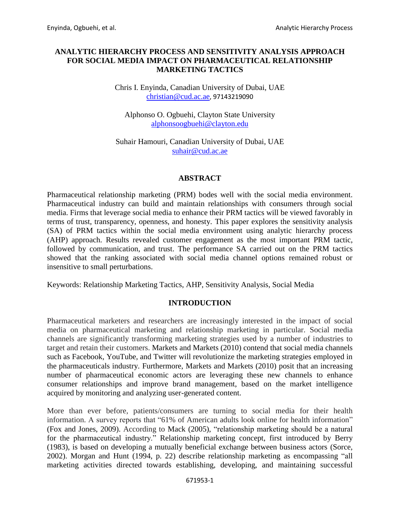# **ANALYTIC HIERARCHY PROCESS AND SENSITIVITY ANALYSIS APPROACH FOR SOCIAL MEDIA IMPACT ON PHARMACEUTICAL RELATIONSHIP MARKETING TACTICS**

## Chris I. Enyinda, Canadian University of Dubai, UAE [christian@cud.ac.ae](mailto:christian@cud.ac.ae), 97143219090

Alphonso O. Ogbuehi, Clayton State University [alphonsoogbuehi@clayton.edu](mailto:alphonsoogbuehi@clayton.edu)

Suhair Hamouri, Canadian University of Dubai, UAE [suhair@cud.ac.ae](mailto:suhair@cud.ac.ae)

## **ABSTRACT**

Pharmaceutical relationship marketing (PRM) bodes well with the social media environment. Pharmaceutical industry can build and maintain relationships with consumers through social media. Firms that leverage social media to enhance their PRM tactics will be viewed favorably in terms of trust, transparency, openness, and honesty. This paper explores the sensitivity analysis (SA) of PRM tactics within the social media environment using analytic hierarchy process (AHP) approach. Results revealed customer engagement as the most important PRM tactic, followed by communication, and trust. The performance SA carried out on the PRM tactics showed that the ranking associated with social media channel options remained robust or insensitive to small perturbations.

Keywords: Relationship Marketing Tactics, AHP, Sensitivity Analysis, Social Media

## **INTRODUCTION**

Pharmaceutical marketers and researchers are increasingly interested in the impact of social media on pharmaceutical marketing and relationship marketing in particular. Social media channels are significantly transforming marketing strategies used by a number of industries to target and retain their customers. Markets and Markets (2010) contend that social media channels such as Facebook, YouTube, and Twitter will revolutionize the marketing strategies employed in the pharmaceuticals industry. Furthermore, Markets and Markets (2010) posit that an increasing number of pharmaceutical economic actors are leveraging these new channels to enhance consumer relationships and improve brand management, based on the market intelligence acquired by monitoring and analyzing user-generated content.

More than ever before, patients/consumers are turning to social media for their health information. A survey reports that "61% of American adults look online for health information" (Fox and Jones, 2009). According to Mack (2005), "relationship marketing should be a natural for the pharmaceutical industry." Relationship marketing concept, first introduced by Berry (1983), is based on developing a mutually beneficial exchange between business actors (Sorce, 2002). Morgan and Hunt (1994, p. 22) describe relationship marketing as encompassing "all marketing activities directed towards establishing, developing, and maintaining successful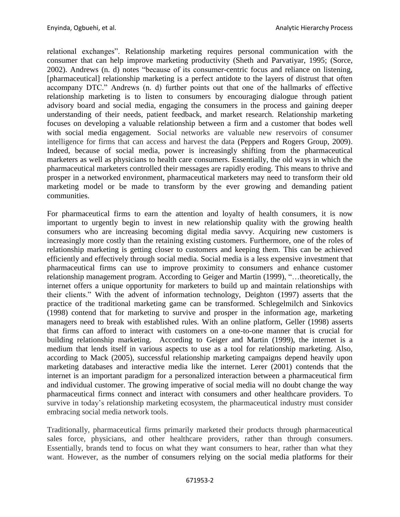relational exchanges". Relationship marketing requires personal communication with the consumer that can help improve marketing productivity (Sheth and Parvatiyar, 1995; (Sorce, 2002). Andrews (n. d) notes "because of its consumer-centric focus and reliance on listening, [pharmaceutical] relationship marketing is a perfect antidote to the layers of distrust that often accompany DTC." Andrews (n. d) further points out that one of the hallmarks of effective relationship marketing is to listen to consumers by encouraging dialogue through patient advisory board and social media, engaging the consumers in the process and gaining deeper understanding of their needs, patient feedback, and market research. Relationship marketing focuses on developing a valuable relationship between a firm and a customer that bodes well with social media engagement. Social networks are valuable new reservoirs of consumer intelligence for firms that can access and harvest the data (Peppers and Rogers Group, 2009). Indeed, because of social media, power is increasingly shifting from the pharmaceutical marketers as well as physicians to health care consumers. Essentially, the old ways in which the pharmaceutical marketers controlled their messages are rapidly eroding. This means to thrive and prosper in a networked environment, pharmaceutical marketers may need to transform their old marketing model or be made to transform by the ever growing and demanding patient communities.

For pharmaceutical firms to earn the attention and loyalty of health consumers, it is now important to urgently begin to invest in new relationship quality with the growing health consumers who are increasing becoming digital media savvy. Acquiring new customers is increasingly more costly than the retaining existing customers. Furthermore, one of the roles of relationship marketing is getting closer to customers and keeping them. This can be achieved efficiently and effectively through social media. Social media is a less expensive investment that pharmaceutical firms can use to improve proximity to consumers and enhance customer relationship management program. According to Geiger and Martin (1999), "…theoretically, the internet offers a unique opportunity for marketers to build up and maintain relationships with their clients." With the advent of information technology, Deighton (1997) asserts that the practice of the traditional marketing game can be transformed. Schlegelmilch and Sinkovics (1998) contend that for marketing to survive and prosper in the information age, marketing managers need to break with established rules. With an online platform, Geller (1998) asserts that firms can afford to interact with customers on a one-to-one manner that is crucial for building relationship marketing. According to Geiger and Martin (1999), the internet is a medium that lends itself in various aspects to use as a tool for relationship marketing. Also, according to Mack (2005), successful relationship marketing campaigns depend heavily upon marketing databases and interactive media like the internet. Lerer (2001) contends that the internet is an important paradigm for a personalized interaction between a pharmaceutical firm and individual customer. The growing imperative of social media will no doubt change the way pharmaceutical firms connect and interact with consumers and other healthcare providers. To survive in today's relationship marketing ecosystem, the pharmaceutical industry must consider embracing social media network tools.

Traditionally, pharmaceutical firms primarily marketed their products through pharmaceutical sales force, physicians, and other healthcare providers, rather than through consumers. Essentially, brands tend to focus on what they want consumers to hear, rather than what they want. However, as the number of consumers relying on the social media platforms for their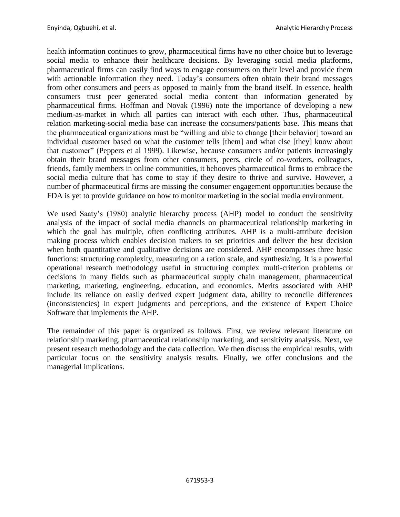health information continues to grow, pharmaceutical firms have no other choice but to leverage social media to enhance their healthcare decisions. By leveraging social media platforms, pharmaceutical firms can easily find ways to engage consumers on their level and provide them with actionable information they need. Today's consumers often obtain their brand messages from other consumers and peers as opposed to mainly from the brand itself. In essence, health consumers trust peer generated social media content than information generated by pharmaceutical firms. Hoffman and Novak (1996) note the importance of developing a new medium-as-market in which all parties can interact with each other. Thus, pharmaceutical relation marketing-social media base can increase the consumers/patients base. This means that the pharmaceutical organizations must be "willing and able to change [their behavior] toward an individual customer based on what the customer tells [them] and what else [they] know about that customer" (Peppers et al 1999). Likewise, because consumers and/or patients increasingly obtain their brand messages from other consumers, peers, circle of co-workers, colleagues, friends, family members in online communities, it behooves pharmaceutical firms to embrace the social media culture that has come to stay if they desire to thrive and survive. However, a number of pharmaceutical firms are missing the consumer engagement opportunities because the FDA is yet to provide guidance on how to monitor marketing in the social media environment.

We used Saaty's (1980) analytic hierarchy process (AHP) model to conduct the sensitivity analysis of the impact of social media channels on pharmaceutical relationship marketing in which the goal has multiple, often conflicting attributes. AHP is a multi-attribute decision making process which enables decision makers to set priorities and deliver the best decision when both quantitative and qualitative decisions are considered. AHP encompasses three basic functions: structuring complexity, measuring on a ration scale, and synthesizing. It is a powerful operational research methodology useful in structuring complex multi-criterion problems or decisions in many fields such as pharmaceutical supply chain management, pharmaceutical marketing, marketing, engineering, education, and economics. Merits associated with AHP include its reliance on easily derived expert judgment data, ability to reconcile differences (inconsistencies) in expert judgments and perceptions, and the existence of Expert Choice Software that implements the AHP.

The remainder of this paper is organized as follows. First, we review relevant literature on relationship marketing, pharmaceutical relationship marketing, and sensitivity analysis. Next, we present research methodology and the data collection. We then discuss the empirical results, with particular focus on the sensitivity analysis results. Finally, we offer conclusions and the managerial implications.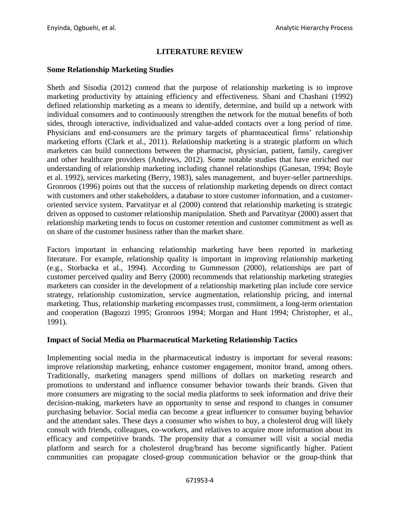# **LITERATURE REVIEW**

## **Some Relationship Marketing Studies**

Sheth and Sisodia (2012) contend that the purpose of relationship marketing is to improve marketing productivity by attaining efficiency and effectiveness. Shani and Chashani (1992) defined relationship marketing as a means to identify, determine, and build up a network with individual consumers and to continuously strengthen the network for the mutual benefits of both sides, through interactive, individualized and value-added contacts over a long period of time. Physicians and end-consumers are the primary targets of pharmaceutical firms' relationship marketing efforts (Clark et al., 2011). Relationship marketing is a strategic platform on which marketers can build connections between the pharmacist, physician, patient, family, caregiver and other healthcare providers (Andrews, 2012). Some notable studies that have enriched our understanding of relationship marketing including channel relationships (Ganesan, 1994; Boyle et al. 1992), services marketing (Berry, 1983), sales management, and buyer-seller partnerships. Gronroos (1996) points out that the success of relationship marketing depends on direct contact with customers and other stakeholders, a database to store customer information, and a customeroriented service system. Parvatityar et al (2000) contend that relationship marketing is strategic driven as opposed to customer relationship manipulation. Sheth and Parvatityar (2000) assert that relationship marketing tends to focus on customer retention and customer commitment as well as on share of the customer business rather than the market share.

Factors important in enhancing relationship marketing have been reported in marketing literature. For example, relationship quality is important in improving relationship marketing (e.g., Storbacka et al., 1994). According to Gummesson (2000), relationships are part of customer perceived quality and Berry (2000) recommends that relationship marketing strategies marketers can consider in the development of a relationship marketing plan include core service strategy, relationship customization, service augmentation, relationship pricing, and internal marketing. Thus, relationship marketing encompasses trust, commitment, a long-term orientation and cooperation (Bagozzi 1995; Gronroos 1994; Morgan and Hunt 1994; Christopher, et al., 1991).

## **Impact of Social Media on Pharmaceutical Marketing Relationship Tactics**

Implementing social media in the pharmaceutical industry is important for several reasons: improve relationship marketing, enhance customer engagement, monitor brand, among others. Traditionally, marketing managers spend millions of dollars on marketing research and promotions to understand and influence consumer behavior towards their brands. Given that more consumers are migrating to the social media platforms to seek information and drive their decision-making, marketers have an opportunity to sense and respond to changes in consumer purchasing behavior. Social media can become a great influencer to consumer buying behavior and the attendant sales. These days a consumer who wishes to buy, a cholesterol drug will likely consult with friends, colleagues, co-workers, and relatives to acquire more information about its efficacy and competitive brands. The propensity that a consumer will visit a social media platform and search for a cholesterol drug/brand has become significantly higher. Patient communities can propagate closed-group communication behavior or the group-think that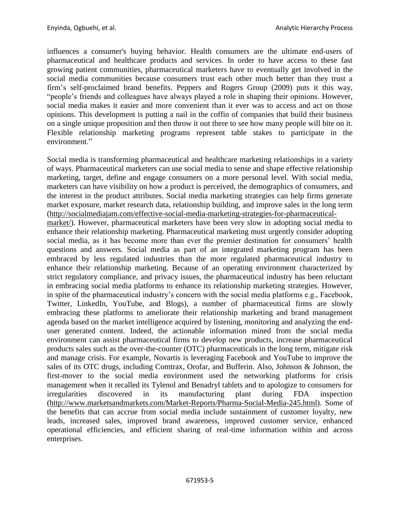influences a consumer's buying behavior. Health consumers are the ultimate end-users of pharmaceutical and healthcare products and services. In order to have access to these fast growing patient communities, pharmaceutical marketers have to eventually get involved in the social media communities because consumers trust each other much better than they trust a firm's self-proclaimed brand benefits. Peppers and Rogers Group (2009) puts it this way, "people's friends and colleagues have always played a role in shaping their opinions. However, social media makes it easier and more convenient than it ever was to access and act on those opinions. This development is putting a nail in the coffin of companies that build their business on a single unique proposition and then throw it out there to see how many people will bite on it. Flexible relationship marketing programs represent table stakes to participate in the environment<sup>"</sup>

Social media is transforming pharmaceutical and healthcare marketing relationships in a variety of ways. Pharmaceutical marketers can use social media to sense and shape effective relationship marketing, target, define and engage consumers on a more personal level. With social media, marketers can have visibility on how a product is perceived, the demographics of consumers, and the interest in the product attributes. Social media marketing strategies can help firms generate market exposure, market research data, relationship building, and improve sales in the long term [\(http://socialmediajam.com/effective-social-media-marketing-strategies-for-pharmaceutical-](http://socialmediajam.com/effective-social-media-marketing-strategies-for-pharmaceutical-market/)

[market/\)](http://socialmediajam.com/effective-social-media-marketing-strategies-for-pharmaceutical-market/). However, pharmaceutical marketers have been very slow in adopting social media to enhance their relationship marketing. Pharmaceutical marketing must urgently consider adopting social media, as it has become more than ever the premier destination for consumers' health questions and answers. Social media as part of an integrated marketing program has been embraced by less regulated industries than the more regulated pharmaceutical industry to enhance their relationship marketing. Because of an operating environment characterized by strict regulatory compliance, and privacy issues, the pharmaceutical industry has been reluctant in embracing social media platforms to enhance its relationship marketing strategies. However, in spite of the pharmaceutical industry's concern with the social media platforms e.g., Facebook, Twitter, LinkedIn, YouTube, and Blogs), a number of pharmaceutical firms are slowly embracing these platforms to ameliorate their relationship marketing and brand management agenda based on the market intelligence acquired by listening, monitoring and analyzing the enduser generated content. Indeed, the actionable information mined from the social media environment can assist pharmaceutical firms to develop new products, increase pharmaceutical products sales such as the over-the-counter (OTC) pharmaceuticals in the long term, mitigate risk and manage crisis. For example, Novartis is leveraging Facebook and YouTube to improve the sales of its OTC drugs, including Comtrax, Orofar, and Bufferin. Also, Johnson & Johnson, the first-mover to the social media environment used the networking platforms for crisis management when it recalled its Tylenol and Benadryl tablets and to apologize to consumers for irregularities discovered in its manufacturing plant during FDA inspection [\(http://www.marketsandmarkets.com/Market-Reports/Pharma-Social-Media-245.html\)](http://www.marketsandmarkets.com/Market-Reports/Pharma-Social-Media-245.html). Some of the benefits that can accrue from social media include sustainment of customer loyalty, new leads, increased sales, improved brand awareness, improved customer service, enhanced operational efficiencies, and efficient sharing of real-time information within and across enterprises.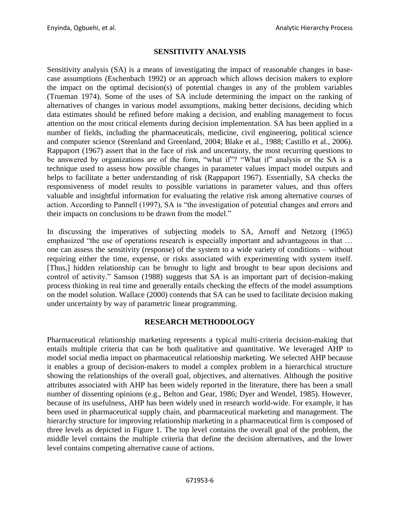# **SENSITIVITY ANALYSIS**

Sensitivity analysis (SA) is a means of investigating the impact of reasonable changes in basecase assumptions (Eschenbach 1992) or an approach which allows decision makers to explore the impact on the optimal decision(s) of potential changes in any of the problem variables (Trueman 1974). Some of the uses of SA include determining the impact on the ranking of alternatives of changes in various model assumptions, making better decisions, deciding which data estimates should be refined before making a decision, and enabling management to focus attention on the most critical elements during decision implementation. SA has been applied in a number of fields, including the pharmaceuticals, medicine, civil engineering, political science and computer science (Steenland and Greenland, 2004; Blake et al., 1988; Castillo et al., 2006). Rappaport (1967) assert that in the face of risk and uncertainty, the most recurring questions to be answered by organizations are of the form, "what if"? "What if" analysis or the SA is a technique used to assess how possible changes in parameter values impact model outputs and helps to facilitate a better understanding of risk (Rappaport 1967). Essentially, SA checks the responsiveness of model results to possible variations in parameter values, and thus offers valuable and insightful information for evaluating the relative risk among alternative courses of action. According to Pannell (1997), SA is "the investigation of potential changes and errors and their impacts on conclusions to be drawn from the model."

In discussing the imperatives of subjecting models to SA, Arnoff and Netzorg (1965) emphasized "the use of operations research is especially important and advantageous in that … one can assess the sensitivity (response) of the system to a wide variety of conditions – without requiring either the time, expense, or risks associated with experimenting with system itself. [Thus,] hidden relationship can be brought to light and brought to bear upon decisions and control of activity." Samson (1988) suggests that SA is an important part of decision-making process thinking in real time and generally entails checking the effects of the model assumptions on the model solution. Wallace (2000) contends that SA can be used to facilitate decision making under uncertainty by way of parametric linear programming.

## **RESEARCH METHODOLOGY**

Pharmaceutical relationship marketing represents a typical multi-criteria decision-making that entails multiple criteria that can be both qualitative and quantitative. We leveraged AHP to model social media impact on pharmaceutical relationship marketing. We selected AHP because it enables a group of decision-makers to model a complex problem in a hierarchical structure showing the relationships of the overall goal, objectives, and alternatives. Although the positive attributes associated with AHP has been widely reported in the literature, there has been a small number of dissenting opinions (e.g., Belton and Gear, 1986; Dyer and Wendel, 1985). However, because of its usefulness, AHP has been widely used in research world-wide. For example, it has been used in pharmaceutical supply chain, and pharmaceutical marketing and management. The hierarchy structure for improving relationship marketing in a pharmaceutical firm is composed of three levels as depicted in Figure 1. The top level contains the overall goal of the problem, the middle level contains the multiple criteria that define the decision alternatives, and the lower level contains competing alternative cause of actions.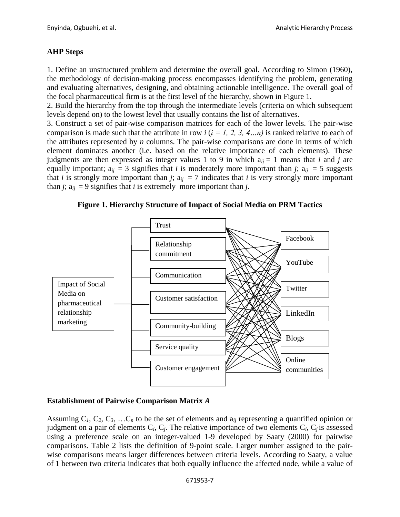# **AHP Steps**

1. Define an unstructured problem and determine the overall goal. According to Simon (1960), the methodology of decision-making process encompasses identifying the problem, generating and evaluating alternatives, designing, and obtaining actionable intelligence. The overall goal of the focal pharmaceutical firm is at the first level of the hierarchy, shown in Figure 1.

2. Build the hierarchy from the top through the intermediate levels (criteria on which subsequent levels depend on) to the lowest level that usually contains the list of alternatives.

3. Construct a set of pair-wise comparison matrices for each of the lower levels. The pair-wise comparison is made such that the attribute in row  $i$  ( $i = 1, 2, 3, 4...n$ ) is ranked relative to each of the attributes represented by *n* columns. The pair-wise comparisons are done in terms of which element dominates another (i.e. based on the relative importance of each elements). These judgments are then expressed as integer values 1 to 9 in which  $a_{ii} = 1$  means that *i* and *j* are equally important;  $a_{ij} = 3$  signifies that *i* is moderately more important than *j*;  $a_{ij} = 5$  suggests that *i* is strongly more important than *j*;  $a_{ii} = 7$  indicates that *i* is very strongly more important than *j*;  $a_{ii} = 9$  signifies that *i* is extremely more important than *j*.

**Figure 1. Hierarchy Structure of Impact of Social Media on PRM Tactics**



# **Establishment of Pairwise Comparison Matrix** *A*

Assuming  $C_1$ ,  $C_2$ ,  $C_3$ , ... $C_n$  to be the set of elements and  $a_{ij}$  representing a quantified opinion or judgment on a pair of elements  $C_i$ ,  $C_j$ . The relative importance of two elements  $C_i$ ,  $C_j$  is assessed using a preference scale on an integer-valued 1-9 developed by Saaty (2000) for pairwise comparisons. Table 2 lists the definition of 9-point scale. Larger number assigned to the pairwise comparisons means larger differences between criteria levels. According to Saaty, a value of 1 between two criteria indicates that both equally influence the affected node, while a value of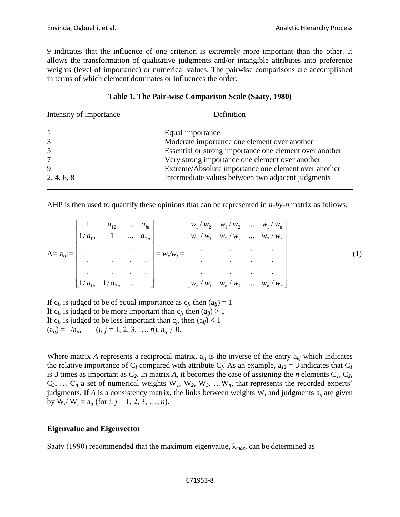9 indicates that the influence of one criterion is extremely more important than the other. It allows the transformation of qualitative judgments and/or intangible attributes into preference weights (level of importance) or numerical values. The pairwise comparisons are accomplished in terms of which element dominates or influences the order.

| Intensity of importance | Definition                                              |  |  |
|-------------------------|---------------------------------------------------------|--|--|
|                         | Equal importance                                        |  |  |
| 3                       | Moderate importance one element over another            |  |  |
|                         | Essential or strong importance one element over another |  |  |
|                         | Very strong importance one element over another         |  |  |
| 9                       | Extreme/Absolute importance one element over another    |  |  |
| 2, 4, 6, 8              | Intermediate values between two adjacent judgments      |  |  |

|  | Table 1. The Pair-wise Comparison Scale (Saaty, 1980) |  |  |  |  |
|--|-------------------------------------------------------|--|--|--|--|
|--|-------------------------------------------------------|--|--|--|--|

AHP is then used to quantify these opinions that can be represented in *n-by-n* matrix as follows:

|               | $1/a_{12}$            | $a_{12}$  | $\cdots$<br>$\cdots$ | $a_{in}$<br>$a_{2n}$ |               | $\begin{bmatrix} w_1/w_2 & w_1/w_2 & \dots & w_1/w_n \end{bmatrix}$<br>$\left  w_2/w_1 \right  w_2/w_2 \dots w_2/w_n$ |           |           |                                                                        |  |
|---------------|-----------------------|-----------|----------------------|----------------------|---------------|-----------------------------------------------------------------------------------------------------------------------|-----------|-----------|------------------------------------------------------------------------|--|
| $A=[a_{ij}]=$ |                       |           |                      |                      | $= w_i/w_j =$ |                                                                                                                       |           |           |                                                                        |  |
|               |                       | $\bullet$ |                      |                      |               |                                                                                                                       | $\bullet$ | $\bullet$ |                                                                        |  |
|               |                       |           |                      | $\bullet$            |               |                                                                                                                       |           |           |                                                                        |  |
|               | $1/a_{1n}$ $1/a_{2n}$ |           | $\cdots$             |                      |               |                                                                                                                       |           |           | $\left  w_n / w_1 \quad w_n / w_2 \quad \dots \quad w_n / w_n \right $ |  |

If  $c_i$ , is judged to be of equal importance as  $c_j$ , then  $(a_{ij}) = 1$ If  $c_i$ , is judged to be more important than  $c_j$ , then  $(a_{ij}) > 1$ If  $c_i$ , is judged to be less important than  $c_j$ , then  $(a_{ij}) < 1$  $(a_{ii}) = 1/a_{ii},$   $(i, j = 1, 2, 3, ..., n), a_{ii} \neq 0.$ 

Where matrix *A* represents a reciprocal matrix,  $a_{ii}$  is the inverse of the entry  $a_{ki}$  which indicates the relative importance of  $C_i$  compared with attribute  $C_j$ . As an example,  $a_{12} = 3$  indicates that  $C_j$ is 3 times as important as  $C_2$ . In matrix *A*, it becomes the case of assigning the *n* elements  $C_1$ ,  $C_2$ ,  $C_3$ , ...  $C_n$  a set of numerical weights  $W_1$ ,  $W_2$ ,  $W_3$ , ...  $W_n$ , that represents the recorded experts' judgments. If *A* is a consistency matrix, the links between weights  $W_i$  and judgments  $a_{ij}$  are given by  $W_i / W_j = a_{ij}$  (for *i*, *j* = 1, 2, 3, …, *n*).

## **Eigenvalue and Eigenvector**

Saaty (1990) recommended that the maximum eigenvalue,  $\lambda_{max}$ , can be determined as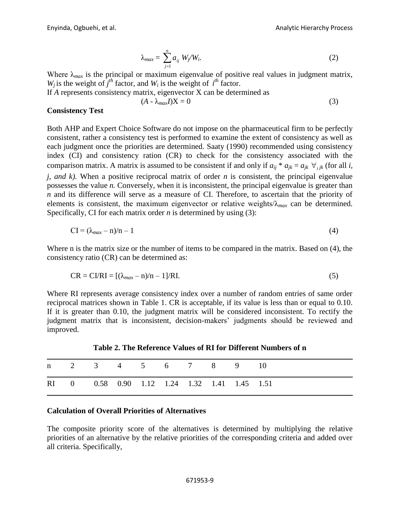$$
\lambda_{max} = \sum_{j=1}^{n} a_{ij} W_j / W_i. \tag{2}
$$

Where  $\lambda_{max}$  is the principal or maximum eigenvalue of positive real values in judgment matrix, *W<sub>i</sub>* is the weight of  $j^{th}$  factor, and *W<sub>i</sub>* is the weight of  $i^{th}$  factor.

If *A* represents consistency matrix, eigenvector X can be determined as

$$
(A - \lambda_{max} I)X = 0 \tag{3}
$$

#### **Consistency Test**

Both AHP and Expert Choice Software do not impose on the pharmaceutical firm to be perfectly consistent, rather a consistency test is performed to examine the extent of consistency as well as each judgment once the priorities are determined. Saaty (1990) recommended using consistency index (CI) and consistency ration (CR) to check for the consistency associated with the comparison matrix. A matrix is assumed to be consistent if and only if  $a_{ij} * a_{jk} = a_{jk} \ \forall_{ijk}$  (for all *i*, *j, and k).* When a positive reciprocal matrix of order *n* is consistent, the principal eigenvalue possesses the value *n.* Conversely, when it is inconsistent, the principal eigenvalue is greater than *n* and its difference will serve as a measure of CI. Therefore, to ascertain that the priority of elements is consistent, the maximum eigenvector or relative weights/λ*max* can be determined. Specifically, CI for each matrix order *n* is determined by using (3):

$$
CI = (\lambda_{max} - n)/n - 1 \tag{4}
$$

Where n is the matrix size or the number of items to be compared in the matrix. Based on (4), the consistency ratio (CR) can be determined as:

$$
CR = C1/RI = [(\lambda_{max} - n)/n - 1]/RI.
$$
\n(5)

Where RI represents average consistency index over a number of random entries of same order reciprocal matrices shown in Table 1. CR is acceptable, if its value is less than or equal to 0.10. If it is greater than 0.10, the judgment matrix will be considered inconsistent. To rectify the judgment matrix that is inconsistent, decision-makers' judgments should be reviewed and improved.

n 2 3 4 5 6 7 8 9 10 RI 0 0.58 0.90 1.12 1.24 1.32 1.41 1.45 1.51

**Table 2. The Reference Values of RI for Different Numbers of n**

#### **Calculation of Overall Priorities of Alternatives**

The composite priority score of the alternatives is determined by multiplying the relative priorities of an alternative by the relative priorities of the corresponding criteria and added over all criteria. Specifically,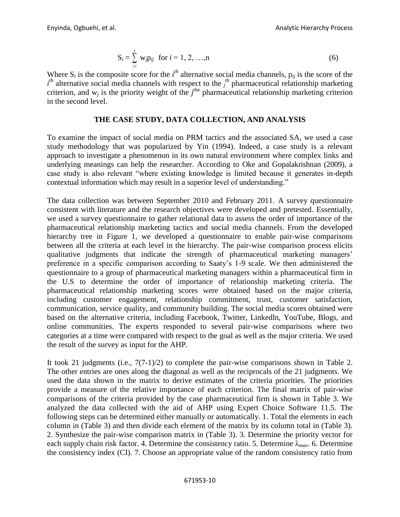$$
S_i = \sum_{j=1}^{n} w_j p_{ij} \text{ for } i = 1, 2, ..., n
$$
 (6)

Where  $S_i$  is the composite score for the  $i^{th}$  alternative social media channels,  $p_{ij}$  is the score of the  $i<sup>th</sup>$  alternative social media channels with respect to the  $j<sup>th</sup>$  pharmaceutical relationship marketing criterion, and  $w_j$  is the priority weight of the  $j^{\text{the}}$  pharmaceutical relationship marketing criterion in the second level.

#### **THE CASE STUDY, DATA COLLECTION, AND ANALYSIS**

To examine the impact of social media on PRM tactics and the associated SA, we used a case study methodology that was popularized by Yin (1994). Indeed, a case study is a relevant approach to investigate a phenomenon in its own natural environment where complex links and underlying meanings can help the researcher. According to Oke and Gopalakrishnan (2009), a case study is also relevant "where existing knowledge is limited because it generates in-depth contextual information which may result in a superior level of understanding."

The data collection was between September 2010 and February 2011. A survey questionnaire consistent with literature and the research objectives were developed and pretested. Essentially, we used a survey questionnaire to gather relational data to assess the order of importance of the pharmaceutical relationship marketing tactics and social media channels. From the developed hierarchy tree in Figure 1, we developed a questionnaire to enable pair-wise comparisons between all the criteria at each level in the hierarchy. The pair-wise comparison process elicits qualitative judgments that indicate the strength of pharmaceutical marketing managers' preference in a specific comparison according to Saaty's 1-9 scale. We then administered the questionnaire to a group of pharmaceutical marketing managers within a pharmaceutical firm in the U.S to determine the order of importance of relationship marketing criteria. The pharmaceutical relationship marketing scores were obtained based on the major criteria, including customer engagement, relationship commitment, trust, customer satisfaction, communication, service quality, and community building. The social media scores obtained were based on the alternative criteria, including Facebook, Twitter, Linkedln, YouTube, Blogs, and online communities. The experts responded to several pair-wise comparisons where two categories at a time were compared with respect to the goal as well as the major criteria. We used the result of the survey as input for the AHP.

It took 21 judgments (i.e., 7(7-1)/2) to complete the pair-wise comparisons shown in Table 2. The other entries are ones along the diagonal as well as the reciprocals of the 21 judgments. We used the data shown in the matrix to derive estimates of the criteria priorities. The priorities provide a measure of the relative importance of each criterion. The final matrix of pair-wise comparisons of the criteria provided by the case pharmaceutical firm is shown in Table 3. We analyzed the data collected with the aid of AHP using Expert Choice Software 11.5. The following steps can be determined either manually or automatically. 1. Total the elements in each column in (Table 3) and then divide each element of the matrix by its column total in (Table 3). 2. Synthesize the pair-wise comparison matrix in (Table 3). 3. Determine the priority vector for each supply chain risk factor. 4. Determine the consistency ratio. 5. Determine λ*max*. 6. Determine the consistency index (CI). 7. Choose an appropriate value of the random consistency ratio from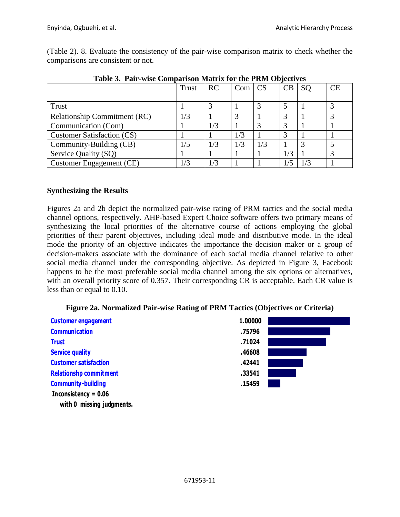(Table 2). 8. Evaluate the consistency of the pair-wise comparison matrix to check whether the comparisons are consistent or not.

| $\sim$ 0.010 $\sim$ 0.011 $\sim$ 0.0111 $\sim$ 0.011 $\sim$ 0.011 $\sim$ 0.011 $\sim$ 0.011 $\sim$ 0.011 $\sim$ 0.011 $\sim$ 0.011 |              |     |     |           |     |               |    |
|------------------------------------------------------------------------------------------------------------------------------------|--------------|-----|-----|-----------|-----|---------------|----|
|                                                                                                                                    | <b>Trust</b> | RC  | Com | <b>CS</b> | CB  | <sub>SO</sub> | CE |
|                                                                                                                                    |              |     |     |           |     |               |    |
| Trust                                                                                                                              |              |     |     |           |     |               |    |
| Relationship Commitment (RC)                                                                                                       | 1/3          |     |     |           | 3   |               |    |
| Communication (Com)                                                                                                                |              | 1/3 |     |           | 3   |               |    |
| <b>Customer Satisfaction (CS)</b>                                                                                                  |              |     | 1/3 |           | 3   |               |    |
| Community-Building (CB)                                                                                                            | 1/5          | 1/3 | 1/3 | 1/3       |     |               |    |
| Service Quality (SQ)                                                                                                               |              |     |     |           | 1/3 |               |    |
| <b>Customer Engagement (CE)</b>                                                                                                    | 1/3          |     |     |           |     |               |    |

**Table 3. Pair-wise Comparison Matrix for the PRM Objectives**

# **Synthesizing the Results**

Figures 2a and 2b depict the normalized pair-wise rating of PRM tactics and the social media channel options, respectively. AHP-based Expert Choice software offers two primary means of synthesizing the local priorities of the alternative course of actions employing the global priorities of their parent objectives, including ideal mode and distributive mode. In the ideal mode the priority of an objective, including flutar mode and distributive model. In the flutar mode the priority of an objective indicates the importance the decision maker or a group of decision-makers associate with the dominance of each social media channel relative to other social media channel under the corresponding objective. As depicted in Figure 3, Facebook happens to be the most preferable social media channel among the six options or alternatives, with an overall priority score of 0.357. Their corresponding CR is acceptable. Each CR value is  $\frac{1}{2}$  less than or equal to 0.10. **Goal: Sensitivity Analysis of Impact of Social Media on Pharma RM**

| <b>Customer engagement</b>    | 1.00000 |  |
|-------------------------------|---------|--|
| <b>Communication</b>          | .75796  |  |
| <b>Trust</b>                  | .71024  |  |
| <b>Service quality</b>        | .46608  |  |
| <b>Customer satisfaction</b>  | .42441  |  |
| <b>Relationshp commitment</b> | .33541  |  |
| <b>Community-building</b>     | .15459  |  |
| Inconsistency = $0.06$        |         |  |
| with 0 missing judgments.     |         |  |

#### **Figure 2a. Normalized Pair-wise Rating of PRM Tactics (Objectives or Criteria)**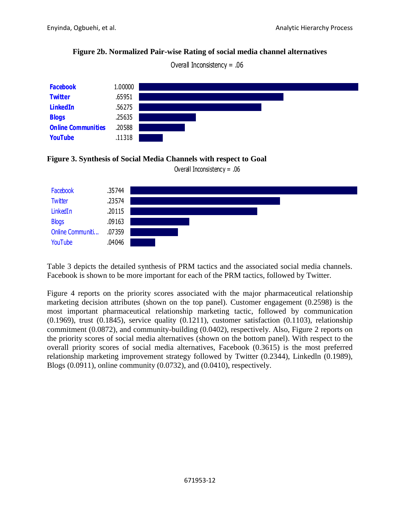# **Figure 2b. Normalized Pair-wise Rating of social media channel alternatives**



 Overall Inconsistency = .06  $O$  and  $O$  in the Inperiodic or  $\lambda = 0$  Sensitivity  $\lambda = 0$  Sensitivity Analysis Analysis Analysis Analysis Analysis Analysis Analysis Analysis Analysis Analysis Analysis Analysis Analysis Analysis Analysis Analysis Anal





Overall Inconsistency = .06

Table 3 depicts the detailed synthesis of PRM tactics and the associated social media channels. Facebook is shown to be more important for each of the PRM tactics, followed by Twitter.

Figure 4 reports on the priority scores associated with the major pharmaceutical relationship marketing decision attributes (shown on the top panel). Customer engagement (0.2598) is the most important pharmaceutical relationship marketing tactic, followed by communication (0.1969), trust (0.1845), service quality (0.1211), customer satisfaction (0.1103), relationship commitment (0.0872), and community-building (0.0402), respectively. Also, Figure 2 reports on the priority scores of social media alternatives (shown on the bottom panel). With respect to the overall priority scores of social media alternatives, Facebook (0.3615) is the most preferred relationship marketing improvement strategy followed by Twitter (0.2344), Linkedln (0.1989), Blogs (0.0911), online community (0.0732), and (0.0410), respectively.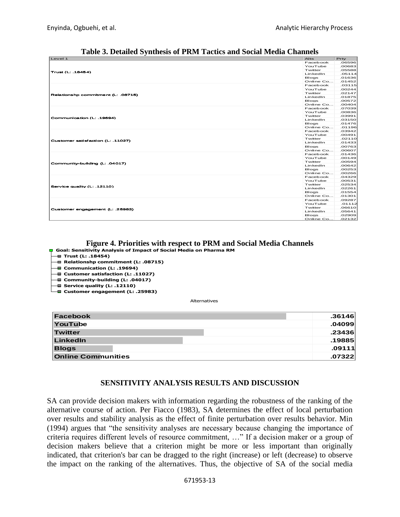| Table 3. Detailed Synthesis of PRM Tactics and Social Media Channels                                                                                                                                                                                                                                   | Prty<br>Alts                              |
|--------------------------------------------------------------------------------------------------------------------------------------------------------------------------------------------------------------------------------------------------------------------------------------------------------|-------------------------------------------|
|                                                                                                                                                                                                                                                                                                        | Facebook<br>.06596                        |
|                                                                                                                                                                                                                                                                                                        | YouTube<br>.00683<br>Twitter<br>.05588    |
|                                                                                                                                                                                                                                                                                                        | Lin kedIn<br>.05114<br>Blogs<br>.01636    |
|                                                                                                                                                                                                                                                                                                        | Online Co<br>.01452                       |
|                                                                                                                                                                                                                                                                                                        | Facebook<br>.03115<br>YouTube<br>.00244   |
| Relationshp commitment (L. .08715)                                                                                                                                                                                                                                                                     | Twitter<br>.02147                         |
|                                                                                                                                                                                                                                                                                                        | LinkedIn<br>.01875<br>Blogs<br>.00572     |
|                                                                                                                                                                                                                                                                                                        | Online Co .00404<br>Facebook<br>- 07039   |
|                                                                                                                                                                                                                                                                                                        | YouTube<br>.00836                         |
|                                                                                                                                                                                                                                                                                                        | Twitter<br>.03991<br>Lin kedIn<br>.03150  |
|                                                                                                                                                                                                                                                                                                        | Blogs<br>.01476<br>Online Co .01196       |
|                                                                                                                                                                                                                                                                                                        | Cacebook 03942                            |
|                                                                                                                                                                                                                                                                                                        | YouTube<br>.00491<br>Twitter<br>.02110    |
|                                                                                                                                                                                                                                                                                                        | Lin kedIn<br>.01433<br>Bloas<br>.00763    |
|                                                                                                                                                                                                                                                                                                        | Online Co<br>.00607                       |
|                                                                                                                                                                                                                                                                                                        | Facebook<br>.01436<br>YouTube<br>.00149   |
|                                                                                                                                                                                                                                                                                                        | Twitter<br>.00594                         |
|                                                                                                                                                                                                                                                                                                        | Lin kedIn<br>.00642<br>Blogs<br>.00253    |
|                                                                                                                                                                                                                                                                                                        | Online Co<br>.00266<br>Facebook<br>.04329 |
|                                                                                                                                                                                                                                                                                                        | YouTube<br>.00531                         |
|                                                                                                                                                                                                                                                                                                        | Twitter<br>.02534<br>Lin kedIn<br>.02261  |
|                                                                                                                                                                                                                                                                                                        | Blogs<br>.01554                           |
|                                                                                                                                                                                                                                                                                                        | Online Co .01301<br>09287. Facebook       |
|                                                                                                                                                                                                                                                                                                        | YouTube<br>.01112<br>Twitter<br>.06610    |
| Customer engagement (L: .25983)                                                                                                                                                                                                                                                                        | LinkedIn<br>.05641                        |
|                                                                                                                                                                                                                                                                                                        | Blogs<br>.02909<br>Online Co<br>.02132    |
| Figure 4. Priorities with respect to PRM and Social Media Channels<br><b>D</b> Goal: Sensitivity Analysis of Impact of Social Media on Pharma RM<br>└ Relationshp commitment (L: .08715) └<br>└■ Communication (L: .19694)<br>└■ Customer satisfaction (L: .11027)<br>□ Community-building (L: .04017) |                                           |
| $\blacksquare$ Service quality (L: .12110)<br>■ Customer engagement (L: .25983)<br>Alternatives                                                                                                                                                                                                        |                                           |
|                                                                                                                                                                                                                                                                                                        | .36146                                    |
|                                                                                                                                                                                                                                                                                                        |                                           |
|                                                                                                                                                                                                                                                                                                        | .04099                                    |
|                                                                                                                                                                                                                                                                                                        | .23436                                    |
|                                                                                                                                                                                                                                                                                                        | .19885                                    |
|                                                                                                                                                                                                                                                                                                        |                                           |
|                                                                                                                                                                                                                                                                                                        | .09111                                    |
|                                                                                                                                                                                                                                                                                                        | .07322                                    |
| SENSITIVITY ANALYSIS RESULTS AND DISCUSSION                                                                                                                                                                                                                                                            |                                           |

**Table 3. Detailed Synthesis of PRM Tactics and Social Media Channels**

#### Figure 4. Priorities with respect to PRM and Social Media Channels Treeview

- **Goal: Sensitivity Analysis of Impact of Social Media on Pharma RM**
- **Trust (L: .18454)**
- **Relationshp commitment (L: .08715)**
- **Communication (L: .19694) Customer satisfaction (L: .11027)**
- **Community-building (L: .04017)**
- **Service quality (L: .12110)**
- **Customer engagement (L: .25983)**

| Facebook                  | .36146 |
|---------------------------|--------|
| YouTube                   | .04099 |
| Twitter                   | .23436 |
| LinkedIn                  | .19885 |
| <b>Blogs</b>              | .09111 |
| <b>Online Communities</b> | .07322 |

## **SENSITIVITY ANALYSIS RESULTS AND DISCUSSION**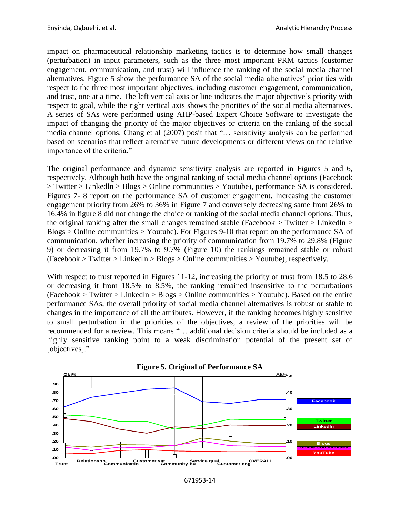impact on pharmaceutical relationship marketing tactics is to determine how small changes (perturbation) in input parameters, such as the three most important PRM tactics (customer engagement, communication, and trust) will influence the ranking of the social media channel alternatives. Figure 5 show the performance SA of the social media alternatives' priorities with respect to the three most important objectives, including customer engagement, communication, and trust, one at a time. The left vertical axis or line indicates the major objective's priority with respect to goal, while the right vertical axis shows the priorities of the social media alternatives. A series of SAs were performed using AHP-based Expert Choice Software to investigate the impact of changing the priority of the major objectives or criteria on the ranking of the social media channel options. Chang et al (2007) posit that "… sensitivity analysis can be performed based on scenarios that reflect alternative future developments or different views on the relative importance of the criteria."

The original performance and dynamic sensitivity analysis are reported in Figures 5 and 6, respectively. Although both have the original ranking of social media channel options (Facebook > Twitter > Linkedln > Blogs > Online communities > Youtube), performance SA is considered. Figures 7- 8 report on the performance SA of customer engagement. Increasing the customer engagement priority from 26% to 36% in Figure 7 and conversely decreasing same from 26% to 16.4% in figure 8 did not change the choice or ranking of the social media channel options. Thus, the original ranking after the small changes remained stable (Facebook > Twitter > Linkedln > Blogs > Online communities > Youtube). For Figures 9-10 that report on the performance SA of communication, whether increasing the priority of communication from 19.7% to 29.8% (Figure 9) or decreasing it from 19.7% to 9.7% (Figure 10) the rankings remained stable or robust  $(Facebook > Twitter > LinkedIn > Blogs > Online communities > YouTube), respectively.$ 

With respect to trust reported in Figures 11-12, increasing the priority of trust from 18.5 to 28.6 or decreasing it from 18.5% to 8.5%, the ranking remained insensitive to the perturbations  $(Facebook > Twitter > LinkedIn > Blogs > Online communities > YouTube)$ . Based on the entire performance SAs, the overall priority of social media channel alternatives is robust or stable to changes in the importance of all the attributes. However, if the ranking becomes highly sensitive to small perturbation in the priorities of the objectives, a review of the priorities will be recommended for a review. This means "… additional decision criteria should be included as a highly sensitive ranking point to a weak discrimination potential of the present set of [objectives]." **Performance Sensitivity Sensitivity Sensitivity Analysis of**  $\mathbb{R}^n$ **.** Sensitivity Analysis of  $\mathbb{R}^n$ 

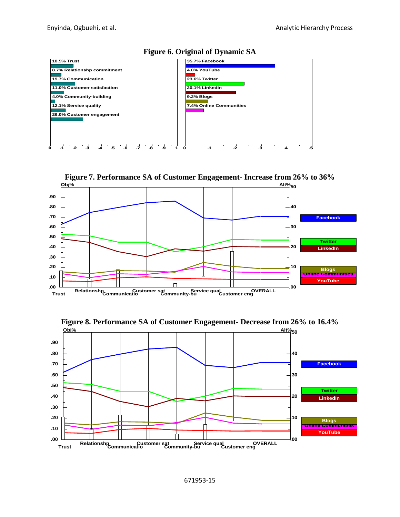







**Performance Sensitivity for no design sensitivity of** 

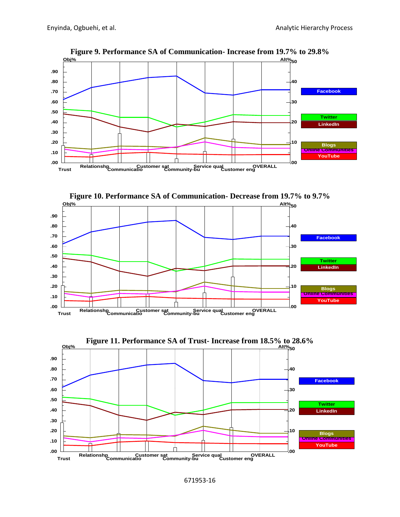

**Figure 9. Performance SA of Communication- Increase from 19.7% to 29.8%**





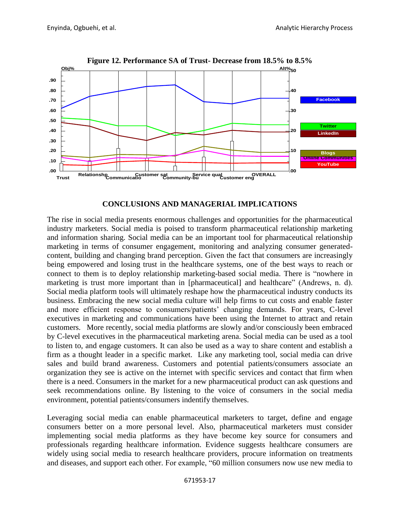

# **CONCLUSIONS AND MANAGERIAL IMPLICATIONS**

The rise in social media presents enormous challenges and opportunities for the pharmaceutical industry marketers. Social media is poised to transform pharmaceutical relationship marketing and information sharing. Social media can be an important tool for pharmaceutical relationship marketing in terms of consumer engagement, monitoring and analyzing consumer generatedcontent, building and changing brand perception. Given the fact that consumers are increasingly being empowered and losing trust in the healthcare systems, one of the best ways to reach or connect to them is to deploy relationship marketing-based social media. There is "nowhere in marketing is trust more important than in [pharmaceutical] and healthcare" (Andrews, n. d). Social media platform tools will ultimately reshape how the pharmaceutical industry conducts its business. Embracing the new social media culture will help firms to cut costs and enable faster and more efficient response to consumers/patients' changing demands. For years, C-level executives in marketing and communications have been using the Internet to attract and retain customers. More recently, social media platforms are slowly and/or consciously been embraced by C-level executives in the pharmaceutical marketing arena. Social media can be used as a tool by C-level executives in the pharmaceutical marketing arena. Social media can be used as a tool to listen to, and engage customers. It can also be used as a way to share content and establish a firm as a thought leader in a specific market. Like any marketing tool, social media can drive sales and build brand awareness. Customers and potential patients/consumers associate an organization they see is active on the internet with specific services and contact that firm when organization they see is active on the internet with specific services and contact that firm when there is a need. Consumers in the market for a new pharmaceutical product can ask questions and seek recommendations online. By listening to the voice of consumers in the social media environment, potential patients/consumers indentify themselves. **Example 12. Performance SA of Trust- Decrease from 18.5% to 8.5% and<br>
and**  $\frac{1}{2}$  **minimized and the most properties of the most properties of the most properties of the parameteris of the parameteris of the parameteris**  $\mathbf{F}$  Trust Trust Trust Trust Trust Trust Trust Trust Trust Trust Trust Trust Trust Trust Trust Trust Trust Trust Trust Trust Trust Trust Trust Trust Trust Trust Trust Trust Trust Trust Trust Trust Trust Trust Trust Tr

Leveraging social media can enable pharmaceutical marketers to target, define and engage consumers better on a more personal level. Also, pharmaceutical marketers must consider implementing social media platforms as they have become key source for consumers and professionals regarding healthcare information. Evidence suggests healthcare consumers are widely using social media to research healthcare providers, procure information on treatments